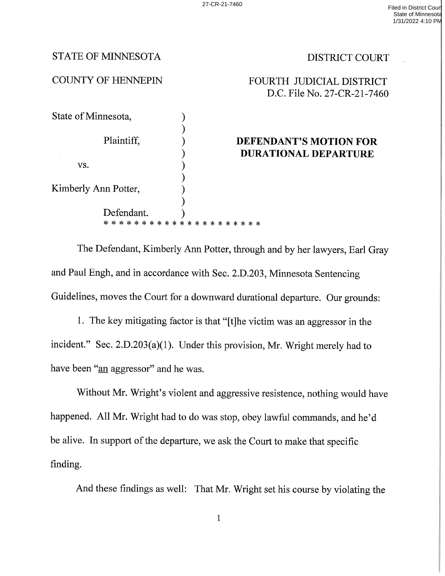## STATE OF MINNESOTA DISTRICT COURT

## COUNTY OF HENNEPIN FOURTH JUDICIAL DISTRICT D.C. File No. 27-CR—21—7460

| State of Minnesota,<br>Plaintiff, |           |                             |
|-----------------------------------|-----------|-----------------------------|
|                                   |           |                             |
|                                   |           | DEFENDANT'S MOTION FOR      |
|                                   |           | <b>DURATIONAL DEPARTURE</b> |
| VS.                               |           |                             |
|                                   |           |                             |
| Kimberly Ann Potter,              |           |                             |
|                                   |           |                             |
| Defendant.                        |           |                             |
| * * * *<br>*<br>ж.<br>ж           | * * * * * | * * * * * * * * *           |

The Defendant, Kimberly Ann Potter, through and by her lawyers, Earl Gray and Paul Engh, and in accordance with Sec. 2.D.203, Minnesota Sentencing Guidelines, moves the Court for a downward durational departure. Our grounds:

l. The key mitigating factor is that "[t]he Victim was an aggressor in the incident." Sec.  $2.D.203(a)(1)$ . Under this provision, Mr. Wright merely had to have been "an aggressor" and he was.

Without Mr. Wright's violent and aggressive resistence, nothing would have happened. All Mr. Wright had to do was stop, obey lawful commands, and he'd be alive. In support of the departure, we ask the Court to make that specific finding.

And these findings as well: That Mr. Wright set his course by violating the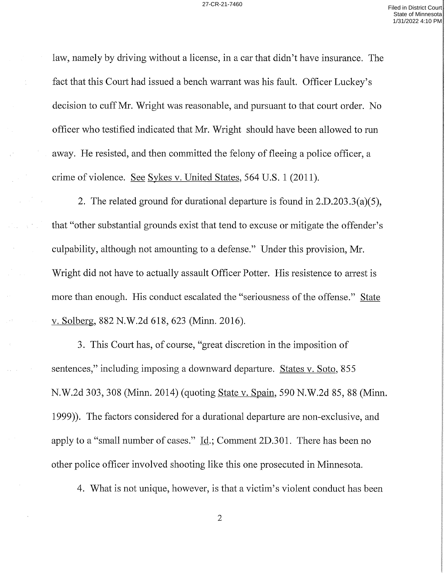law, namely by driving without a license, in a car that didn't have insurance. The fact that this Court had issued a bench warrant was his fault. Officer Luckey's decision to cuff Mr. Wright was reasonable, and pursuant to that court order. No officer who testified indicated that Mr. Wright should have been allowed to run away. He resisted, and then committed the felony of fleeing a police officer, a crime of violence. See Sykes v. United States, 564 U.S. 1 (2011).

2. The related ground for durational departure is found in 2.D.203.3(a)(5), that "other substantial grounds exist that tend to excuse or mitigate the offender's culpability, although not amounting to a defense." Under this provision, Mr. Wright did not have to actually assault Officer Potter. His resistence to arrest is more than enough. His conduct escalated the "seriousness of the offense." State V. Solberg, 882 N.W.2d 618, 623 (Minn. 2016).

3. This Court has, of course, "great discretion in the imposition of sentences," including imposing a downward departure. States v. Soto, 855 N.W.2d 303, 308 (Minn. 2014) (quoting State v. Spain, 590 N.W.2d 85, 88 (Minn. 1999)). The factors considered for a durational departure are non-exclusive, and apply to a "small number of cases." Id.; Comment  $2D.301$ . There has been no other police officer involved shooting like this one prosecuted in Minnesota.

4. What is not unique, however, is that a victim's violent conduct has been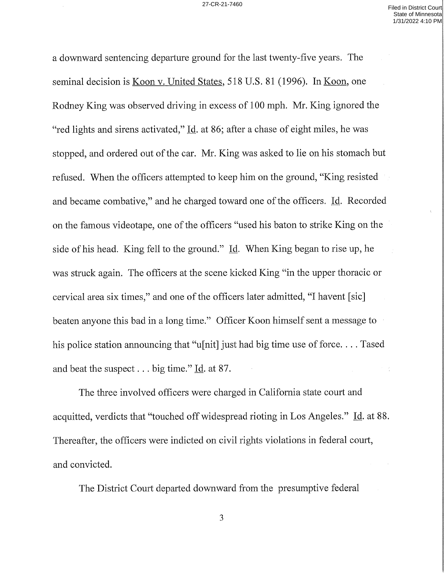downward sentencing departure ground for the last twenty-five years. The seminal decision is Koon v. United States, 518 U.S. 81 (1996). In Koon, one Rodney King was observed driving in excess of <sup>100</sup> mph. Mr. King ignored the "red lights and sirens activated," Id. at 86; after a chase of eight miles, he was stopped, and ordered out of the car. Mr. King was asked to lie on his stomach but refused. When the officers attempted to keep him on the ground, "King resisted and became combative," and he charged toward one of the officers. Id. Recorded on the famous videotape, one of the officers "used his baton to strike King on the side of his head. King fell to the ground." 1d. When King began to rise up, he was struck again. The officers at the scene kicked King "in the upper thoracic or cervical area six times," and one of the officers later admitted, "I havent [sic] beaten anyone this bad in a long time." Officer Koon himself sent a message to his police station announcing that "u[nit] just had big time use of force.... Tased and beat the suspect  $\ldots$  big time." Id. at 87.

The three involved officers were charged in California state court and acquitted, verdicts that "touched off widespread rioting in Los Angeles." Id. at 88. Thereafter, the officers were indicted on civil rights violations in federal court, and convicted.

The District Court departed downward from the presumptive federal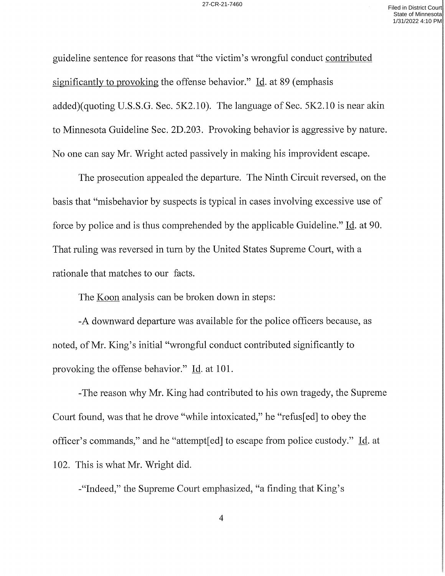guideline sentence for reasons that "the Victim's wrongful conduct contributed significantly to provoking the offense behavior." Id. at 89 (emphasis added)(quoting U.S.S.G. Sec. 5K2.10). The language of Sec. 5K2.10 is near akin to Minnesota Guideline Sec. 2D.203. Provoking behavior is aggressive by nature. No one can say Mr. Wright acted passively in making his improvident escape.

The prosecution appealed the departure. The Ninth Circuit reversed, on the basis that "misbehavior by suspects is typical in cases involving excessive use of force by police and is thus comprehended by the applicable Guideline." Id. at 90. That ruling was reversed in turn by the United States Supreme Court, with a rationale that matches to our facts.

The <u>Koon</u> analysis can be broken down in steps:

-A downward departure was available for the police officers because, as noted, of Mr. King's initial "wrongful conduct contributed significantly to provoking the offense behavior." Id. at 101.

—The reason why Mr. King had contributed to his own tragedy, the Supreme Court found, was that he drove "while intoxicated," he "refus[ed] to obey the officer's commands," and he "attempt[ed] to escape from police custody." id. at 102. This is what Mr. Wright did.

-"Indeed," the Supreme Court emphasized, "a finding that King's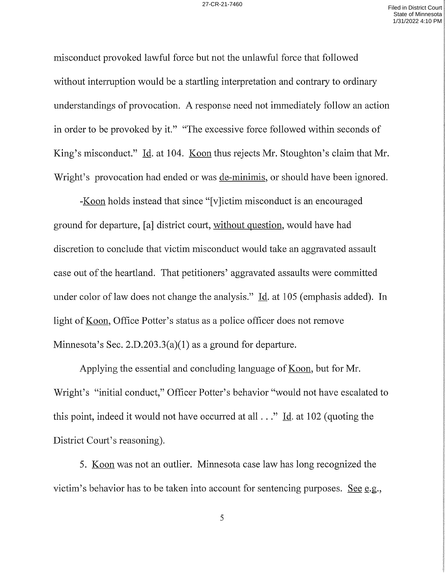misconduct provoked lawful force but not the unlawful force that followed without interruption would be startling interpretation and contrary to ordinary understandings of provocation. A response need not immediately follow an action in order to be provoked by it." "The excessive force followed within seconds of King's misconduct." Id. at 104. Koon thus rejects Mr. Stoughton's claim that Mr. Wright's provocation had ended or was <u>de-minimis</u>, or should have been ignored.

-Koon holds instead that since "[v]ictim misconduct is an encouraged ground for departure, [a] district court, without question, would have had discretion to conclude that victim misconduct would take an aggravated assault case out of the heartland. That petitioners' aggravated assaults were committed under color of law does not change the analysis." Id. at 105 (emphasis added). In light of Koon, Office Potter's status as a police officer does not remove Minnesota's Sec. 2.D.203.3(a)(1) as a ground for departure.

Applying the essential and concluding language of Koon, but for Mr. Wright's "initial conduct," Officer Potter's behavior "would not have escalated to this point, indeed it would not have occurred at all . . ." <u>Id</u>. at 102 (quoting the District Court's reasoning).

5. Koon was not an outlier. Minnesota case law has long recognized the victim's behavior has to be taken into account for sentencing purposes. See e.g.,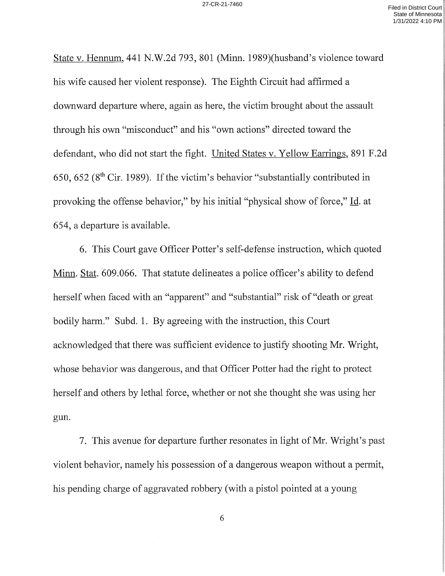State V. Hennum, 441 N.W.2d 793, 801 (Minn. 1989)(husband's Violence toward his wife caused her violent response). The Eighth Circuit had affirmed a downward departure where, again as here, the victim brought about the assault through his own "misconduct" and his "own actions" directed toward the defendant, who did not start the fight. United States v. Yellow Earrings, 891 F.2d 650, 652 ( $8<sup>th</sup>$  Cir. 1989). If the victim's behavior "substantially contributed in provoking the offense behavior," by his initial "physical show of force," Id. at 654, departure is available.

6. This Court gave Officer Potter's self—defense instruction, which quoted Minn. Stat. 609.066. That statute delineates a police officer's ability to defend herself when faced with an "apparent" and "substantial" risk of "death or great bodily harm." Subd. 1. By agreeing with the instruction, this Court acknowledged that there was sufficient evidence to justify shooting Mr. Wright, whose behavior was dangerous, and that Officer Potter had the right to protect herself and others by lethal force, whether or not she thought she was using her gun.

7. This avenue for departure further resonates in light of Mr. Wright's past violent behavior, namely his possession of a dangerous weapon without a permit, his pending charge of aggravated robbery (with a pistol pointed at a young

6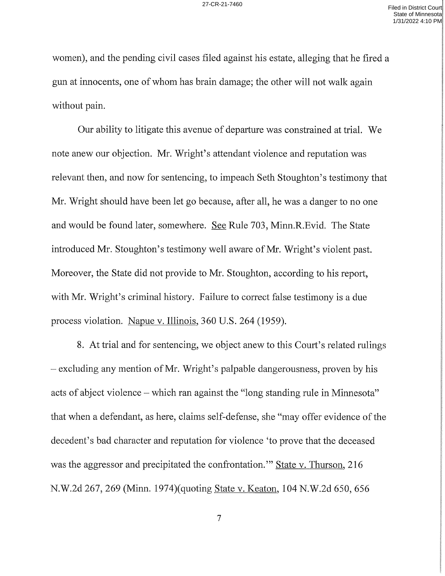women), and the pending civil cases filed against his estate, alleging that he fired a gun at innocents, one of Whom has brain damage; the other will not walk again Without pain.

Our ability to litigate this avenue of departure was constrained at trial. We note anew our objection. Mr. Wright's attendant violence and reputation was relevant then, and now for sentencing, to impeach Seth Stoughton's testimony that Mr. Wright should have been let go because, after all, he was a danger to no one and would be found later, somewhere. See Rule 703, Minn.R.Evid. The State introduced Mr. Stoughton's testimony well aware of Mr. Wright's violent past. Moreover, the State did not provide to Mr. Stoughton, according to his report, with Mr. Wright's criminal history. Failure to correct false testimony is a due process violation. Napue v. Illinois, 360 U.S. 264 (1959).

8. At trial and for sentencing, we object anew to this Court's related rulings  $-$  excluding any mention of Mr. Wright's palpable dangerousness, proven by his acts of abject violence – which ran against the "long standing rule in Minnesota" that when a defendant, as here, claims self-defense, she "may offer evidence of the decedent's bad character and reputation for violence 'to prove that the deceased was the aggressor and precipitated the confrontation." State v. Thurson, 216 N.W.2d 267, 269 (Minn. l974)(quoting State v. Keaton, 104 N.W.2d 650, 656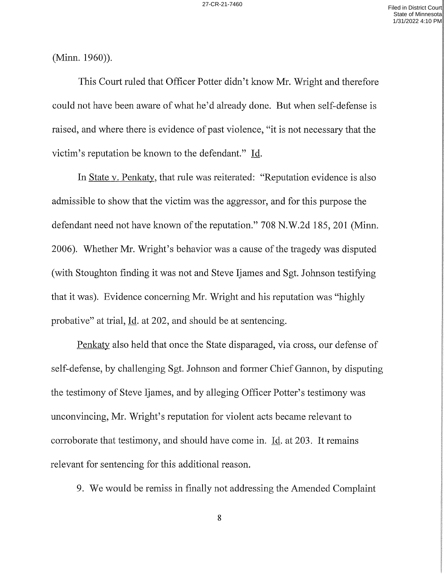(Minn. 1960)).

This Court ruled that Officer Potter didn't know Mr. Wright and therefore could not have been aware of what he'd already done. But when self-defense is raised, and Where there is evidence of past Violence, "it is not necessary that the Victim's reputation be known to the defendant." 1d.

In State v. Penkaty, that rule was reiterated: "Reputation evidence is also admissible to show that the victim was the aggressor, and for this purpose the defendant need not have known of the reputation." 708 N.W.2d 185, 201 (Minn. 2006). Whether Mr. Wright's behavior was a cause of the tragedy was disputed (with Stoughton finding it was not and Steve Ijames and Sgt. Johnson testifying that it was). Evidence concerning Mr. Wright and his reputation was "highly probative" at trial,  $\underline{Id}$ . at 202, and should be at sentencing.

Penkaty also held that once the State disparaged, via cross, our defense of self—defense, by challenging Sgt. Johnson and former Chief Gannon, by disputing the testimony of Steve Ijames, and by alleging Officer Potter's testimony was unconvincing, Mr. Wright's reputation for violent acts became relevant to corroborate that testimony, and should have come in.  $\underline{Id}$ . at 203. It remains relevant for sentencing for this additional reason.

9. We would be remiss in finally not addressing the Amended Complaint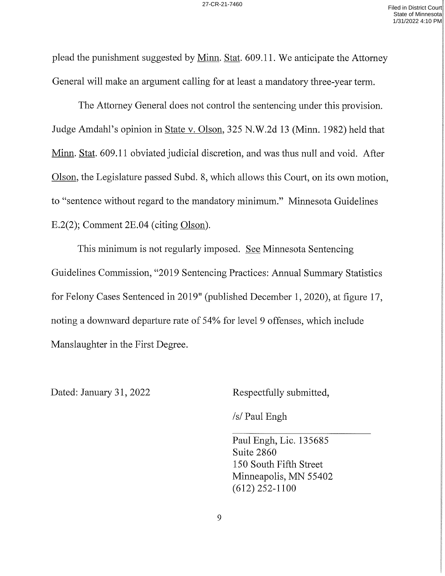plead the punishment suggested by <u>Minn. Stat</u>. 609.11. We anticipate the Attorney General will make an argument calling for at least a mandatory three-year term.

The Attorney General does not control the sentencing under this provision. Judge Amdahl's opinion in State V. Olson, 325 N.W.2d <sup>13</sup> (Minn. 1982) held that Minn. Stat. 609.11 obviated judicial discretion, and was thus null and void. After Olson, the Legislature passed Subd. 8, which allows this Court, on its own motion, to "sentence Without regard to the mandatory minimum." Minnesota Guidelines E.2(2); Comment  $2E.04$  (citing Olson).

This minimum is not regularly imposed. See Minnesota Sentencing Guidelines Commission, "2019 Sentencing Practices: Annual Summary Statistics for Felony Cases Sentenced in 2019" (published December l, 2020), at figure l7, noting a downward departure rate of 54% for level 9 offenses, which include Manslaughter in the First Degree.

Dated: January 31, 2022 Respectfully submitted,

/s/ Paul Engh

Paul Engh, Lic. l35685 Suite 2860 150 South Fifth Street Minneapolis, MN 55402 (612) 252—1100